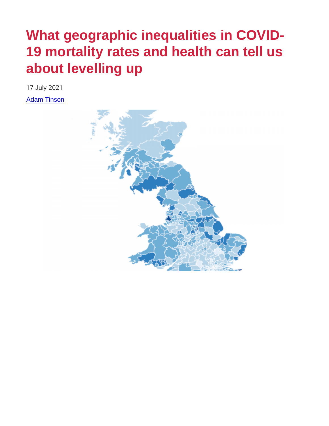# What geographic inequalities in COVID-19 mortality rates and health can tell us about levelling up

17 July 2021

[Adam Tinson](http://www.health.org.uk/about-the-health-foundation/our-people/healthy-lives-team/adam-tinson)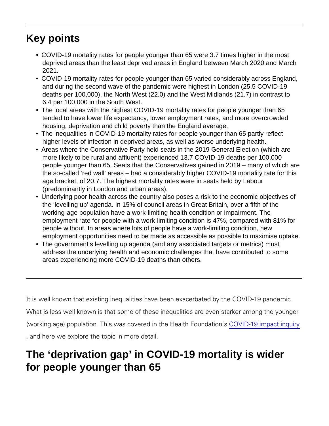## Key points

- COVID-19 mortality rates for people younger than 65 were 3.7 times higher in the most deprived areas than the least deprived areas in England between March 2020 and March 2021.
- COVID-19 mortality rates for people younger than 65 varied considerably across England, and during the second wave of the pandemic were highest in London (25.5 COVID-19 deaths per 100,000), the North West (22.0) and the West Midlands (21.7) in contrast to 6.4 per 100,000 in the South West.
- The local areas with the highest COVID-19 mortality rates for people younger than 65 tended to have lower life expectancy, lower employment rates, and more overcrowded housing, deprivation and child poverty than the England average.
- The inequalities in COVID-19 mortality rates for people younger than 65 partly reflect higher levels of infection in deprived areas, as well as worse underlying health.
- Areas where the Conservative Party held seats in the 2019 General Election (which are more likely to be rural and affluent) experienced 13.7 COVID-19 deaths per 100,000 people younger than 65. Seats that the Conservatives gained in 2019 – many of which are the so-called 'red wall' areas – had a considerably higher COVID-19 mortality rate for this age bracket, of 20.7. The highest mortality rates were in seats held by Labour (predominantly in London and urban areas).
- Underlying poor health across the country also poses a risk to the economic objectives of the 'levelling up' agenda. In 15% of council areas in Great Britain, over a fifth of the working-age population have a work-limiting health condition or impairment. The employment rate for people with a work-limiting condition is 47%, compared with 81% for people without. In areas where lots of people have a work-limiting condition, new employment opportunities need to be made as accessible as possible to maximise uptake.
- The government's levelling up agenda (and any associated targets or metrics) must address the underlying health and economic challenges that have contributed to some areas experiencing more COVID-19 deaths than others.

```
It is well known that existing inequalities have been exacerbated
What is less well known is that some of these inequalities are even
(working age) population. This was covered CnO thieD Hie9alth p Erotunind at
, and here we explore the topic in more detail.
```
### The 'deprivation gap' in COVID-19 mortality is wider for people younger than 65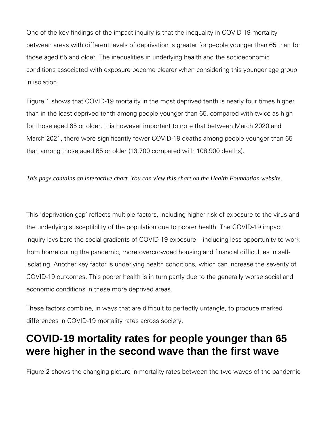One of the key findings of the impact inquiry is that the inequality in COVID-19 mortality between areas with different levels of deprivation is greater for people younger than 65 than for those aged 65 and older. The inequalities in underlying health and the socioeconomic conditions associated with exposure become clearer when considering this younger age group in isolation.

Figure 1 shows that COVID-19 mortality in the most deprived tenth is nearly four times higher than in the least deprived tenth among people younger than 65, compared with twice as high for those aged 65 or older. It is however important to note that between March 2020 and March 2021, there were significantly fewer COVID-19 deaths among people younger than 65 than among those aged 65 or older (13,700 compared with 108,900 deaths).

*This page contains an interactive chart. You can view this chart on the Health Foundation website.*

This 'deprivation gap' reflects multiple factors, including higher risk of exposure to the virus and the underlying susceptibility of the population due to poorer health. The COVID-19 impact inquiry lays bare the social gradients of COVID-19 exposure – including less opportunity to work from home during the pandemic, more overcrowded housing and financial difficulties in selfisolating. Another key factor is underlying health conditions, which can increase the severity of COVID-19 outcomes. This poorer health is in turn partly due to the generally worse social and economic conditions in these more deprived areas.

These factors combine, in ways that are difficult to perfectly untangle, to produce marked differences in COVID-19 mortality rates across society.

#### **COVID-19 mortality rates for people younger than 65 were higher in the second wave than the first wave**

Figure 2 shows the changing picture in mortality rates between the two waves of the pandemic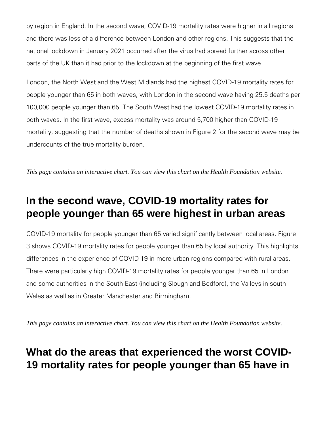by region in England. In the second wave, COVID-19 mortality rates were higher in all regions and there was less of a difference between London and other regions. This suggests that the national lockdown in January 2021 occurred after the virus had spread further across other parts of the UK than it had prior to the lockdown at the beginning of the first wave.

London, the North West and the West Midlands had the highest COVID-19 mortality rates for people younger than 65 in both waves, with London in the second wave having 25.5 deaths per 100,000 people younger than 65. The South West had the lowest COVID-19 mortality rates in both waves. In the first wave, excess mortality was around 5,700 higher than COVID-19 mortality, suggesting that the number of deaths shown in Figure 2 for the second wave may be undercounts of the true mortality burden.

*This page contains an interactive chart. You can view this chart on the Health Foundation website.*

#### **In the second wave, COVID-19 mortality rates for people younger than 65 were highest in urban areas**

COVID-19 mortality for people younger than 65 varied significantly between local areas. Figure 3 shows COVID-19 mortality rates for people younger than 65 by local authority. This highlights differences in the experience of COVID-19 in more urban regions compared with rural areas. There were particularly high COVID-19 mortality rates for people younger than 65 in London and some authorities in the South East (including Slough and Bedford), the Valleys in south Wales as well as in Greater Manchester and Birmingham.

*This page contains an interactive chart. You can view this chart on the Health Foundation website.*

#### **What do the areas that experienced the worst COVID-19 mortality rates for people younger than 65 have in**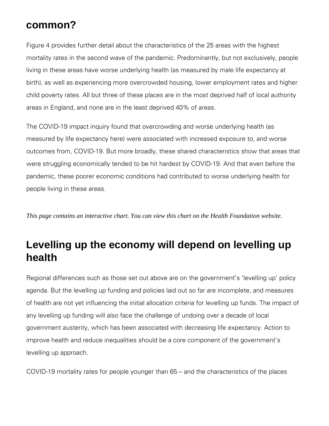#### **common?**

Figure 4 provides further detail about the characteristics of the 25 areas with the highest mortality rates in the second wave of the pandemic. Predominantly, but not exclusively, people living in these areas have worse underlying health (as measured by male life expectancy at birth), as well as experiencing more overcrowded housing, lower employment rates and higher child poverty rates. All but three of these places are in the most deprived half of local authority areas in England, and none are in the least deprived 40% of areas.

The COVID-19 impact inquiry found that overcrowding and worse underlying health (as measured by life expectancy here) were associated with increased exposure to, and worse outcomes from, COVID-19. But more broadly, these shared characteristics show that areas that were struggling economically tended to be hit hardest by COVID-19. And that even before the pandemic, these poorer economic conditions had contributed to worse underlying health for people living in these areas.

*This page contains an interactive chart. You can view this chart on the Health Foundation website.*

#### **Levelling up the economy will depend on levelling up health**

Regional differences such as those set out above are on the government's 'levelling up' policy agenda. But the levelling up funding and policies laid out so far are incomplete, and measures of health are not yet influencing the initial allocation criteria for levelling up funds. The impact of any levelling up funding will also face the challenge of undoing over a decade of local government austerity, which has been associated with decreasing life expectancy. Action to improve health and reduce inequalities should be a core component of the government's levelling up approach.

COVID-19 mortality rates for people younger than 65 – and the characteristics of the places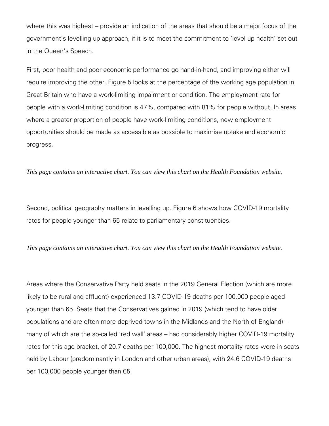where this was highest – provide an indication of the areas that should be a major focus of the government's levelling up approach, if it is to meet the commitment to 'level up health' set out in the Queen's Speech.

First, poor health and poor economic performance go hand-in-hand, and improving either will require improving the other. Figure 5 looks at the percentage of the working age population in Great Britain who have a work-limiting impairment or condition. The employment rate for people with a work-limiting condition is 47%, compared with 81% for people without. In areas where a greater proportion of people have work-limiting conditions, new employment opportunities should be made as accessible as possible to maximise uptake and economic progress.

*This page contains an interactive chart. You can view this chart on the Health Foundation website.*

Second, political geography matters in levelling up. Figure 6 shows how COVID-19 mortality rates for people younger than 65 relate to parliamentary constituencies.

*This page contains an interactive chart. You can view this chart on the Health Foundation website.*

Areas where the Conservative Party held seats in the 2019 General Election (which are more likely to be rural and affluent) experienced 13.7 COVID-19 deaths per 100,000 people aged younger than 65. Seats that the Conservatives gained in 2019 (which tend to have older populations and are often more deprived towns in the Midlands and the North of England) – many of which are the so-called 'red wall' areas – had considerably higher COVID-19 mortality rates for this age bracket, of 20.7 deaths per 100,000. The highest mortality rates were in seats held by Labour (predominantly in London and other urban areas), with 24.6 COVID-19 deaths per 100,000 people younger than 65.